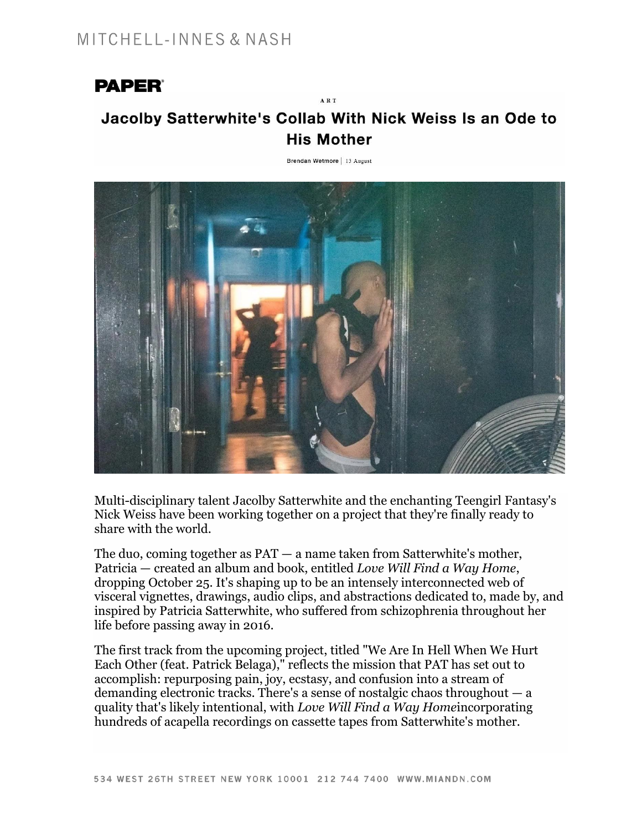## **PAPER®**

## Jacolby Satterwhite's Collab With Nick Weiss Is an Ode to **His Mother**

ART

Brendan Wetmore | 13 August



Multi-disciplinary talent [Jacolby Satterwhite](https://www.instagram.com/jacolbysatt/) and the enchanting [Teengirl Fantasy'](https://www.instagram.com/teengirlfantasy_/)s Nick Weiss have been working together on a project that they're finally ready to share with the world.

The duo, coming together as PAT — a name taken from Satterwhite's mother, Patricia — created an album and book, entitled *Love Will Find a Way Home*, dropping October 25. It's shaping up to be an intensely interconnected web of visceral vignettes, drawings, audio clips, and abstractions dedicated to, made by, and inspired by Patricia Satterwhite, who suffered from schizophrenia throughout her life before passing away in 2016.

The first track from the upcoming project, titled "We Are In Hell When We Hurt Each Other (feat. Patrick Belaga)," reflects the mission that PAT has set out to accomplish: repurposing pain, joy, ecstasy, and confusion into a stream of demanding electronic tracks. There's a sense of nostalgic chaos throughout  $-a$ quality that's likely intentional, with *Love Will Find a Way Home*incorporating hundreds of acapella recordings on cassette tapes from Satterwhite's mother.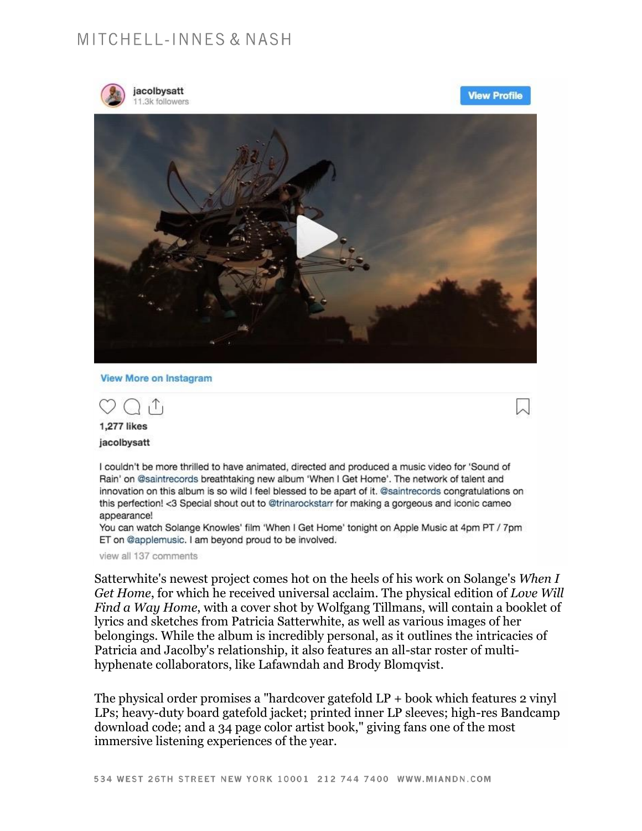## MITCHELL-INNES & NASH



jacolbysatt .3k followers

**View Profile** 



**View More on Instagram** 

T, 1,277 likes

jacolbysatt

I couldn't be more thrilled to have animated, directed and produced a music video for 'Sound of Rain' on @saintrecords breathtaking new album 'When I Get Home'. The network of talent and innovation on this album is so wild I feel blessed to be apart of it. @saintrecords congratulations on this perfection! <3 Special shout out to @trinarockstarr for making a gorgeous and iconic cameo appearance!

You can watch Solange Knowles' film 'When I Get Home' tonight on Apple Music at 4pm PT / 7pm ET on @applemusic. I am beyond proud to be involved.

view all 137 comments

Satterwhite's newest project comes hot on the heels of his work on Solange's When I Get Home, for which he received universal acclaim. The physical edition of Love Will Find a Way Home, with a cover shot by Wolfgang Tillmans, will contain a booklet of lyrics and sketches from Patricia Satterwhite, as well as various images of her belongings. While the album is incredibly personal, as it outlines the intricacies of Patricia and Jacolby's relationship, it also features an all-star roster of multihyphenate collaborators, like Lafawndah and Brody Blomqvist.

The physical order promises a "hardcover gatefold  $LP +$  book which features 2 vinyl LPs; heavy-duty board gatefold jacket; printed inner LP sleeves; high-res Bandcamp download code; and a 34 page color artist book," giving fans one of the most immersive listening experiences of the year.